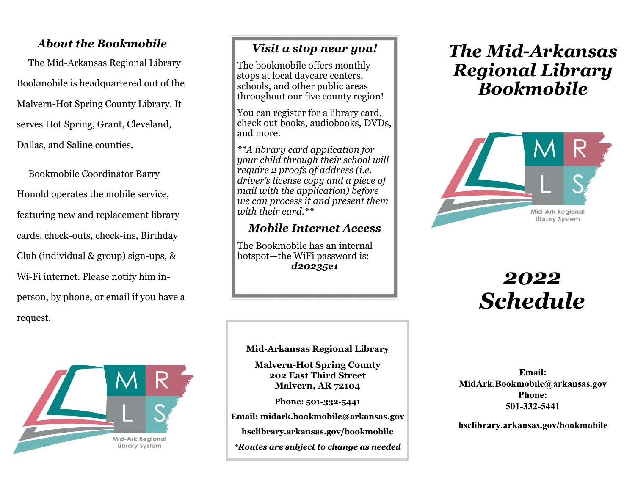### *About the Bookmobile*

 The Mid-Arkansas Regional Library Bookmobile is headquartered out of the Malvern-Hot Spring County Library. It serves Hot Spring, Grant, Cleveland, Dallas, and Saline counties.

 Bookmobile Coordinator Barry Honold operates the mobile service, featuring new and replacement library cards, check-outs, check-ins, Birthday Club (individual & group) sign-ups, & Wi-Fi internet. Please notify him inperson, by phone, or email if you have a request.



### *Visit a stop near you!*

The bookmobile offers monthly stops at local daycare centers, schools, and other public areas throughout our five county region!

You can register for a library card, check out books, audiobooks, DVDs, and more.

*\*\*A library card application for your child through their school will require 2 proofs of address (i.e. driver's license copy and a piece of mail with the application) before we can process it and present them with their card.\*\**

### *Mobile Internet Access*

The Bookmobile has an internal hotspot—the WiFi password is: *d20235e1*

#### **Mid-Arkansas Regional Library**

**Malvern-Hot Spring County 202 East Third Street Malvern, AR 72104**

**Phone: 501-332-5441**

**Email: midark.bookmobile@arkansas.gov**

**hsclibrary.arkansas.gov/bookmobile**

*\*Routes are subject to change as needed*

## *The Mid-Arkansas Regional Library Bookmobile*



# *2022 Schedule*

Email: MidArk.Bookmobile@arkansas.gov **Phone:** 501-332-5441

hsclibrary.arkansas.gov/bookmobile